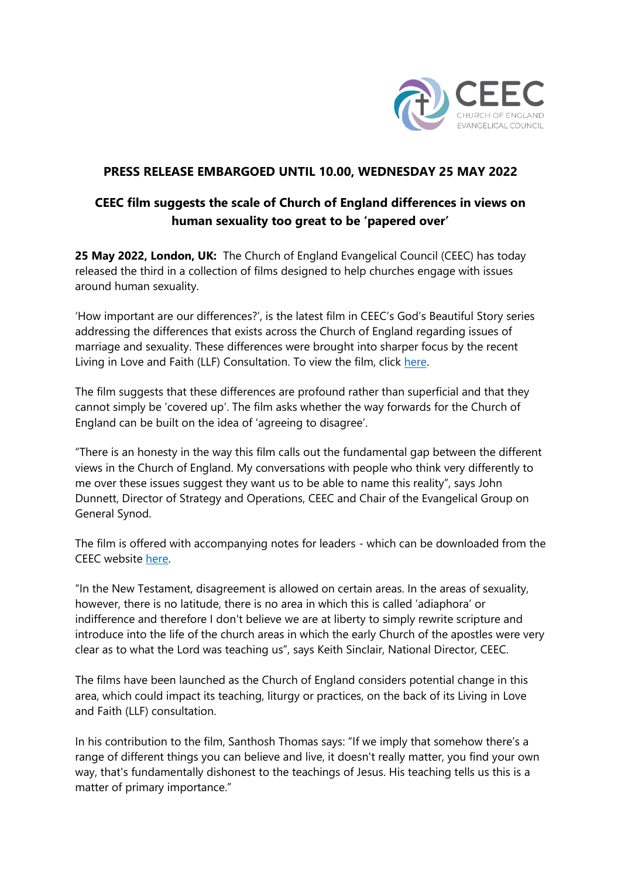

## **PRESS RELEASE EMBARGOED UNTIL 10.00, WEDNESDAY 25 MAY 2022**

# **CEEC film suggests the scale of Church of England differences in views on human sexuality too great to be 'papered over'**

**25 May 2022, London, UK:** The Church of England Evangelical Council (CEEC) has today released the third in a collection of films designed to help churches engage with issues around human sexuality.

'How important are our differences?', is the latest film in CEEC's God's Beautiful Story series addressing the differences that exists across the Church of England regarding issues of marriage and sexuality. These differences were brought into sharper focus by the recent Living in Love and Faith (LLF) Consultation. To view the film, click [here.](http://www.ceec.info/gods-beautiful-story.html)

The film suggests that these differences are profound rather than superficial and that they cannot simply be 'covered up'. The film asks whether the way forwards for the Church of England can be built on the idea of 'agreeing to disagree'.

"There is an honesty in the way this film calls out the fundamental gap between the different views in the Church of England. My conversations with people who think very differently to me over these issues suggest they want us to be able to name this reality", says John Dunnett, Director of Strategy and Operations, CEEC and Chair of the Evangelical Group on General Synod.

The film is offered with accompanying notes for leaders - which can be downloaded from the CEEC website [here.](http://www.ceec.info/gods-beautiful-story.html)

"In the New Testament, disagreement is allowed on certain areas. In the areas of sexuality, however, there is no latitude, there is no area in which this is called 'adiaphora' or indifference and therefore I don't believe we are at liberty to simply rewrite scripture and introduce into the life of the church areas in which the early Church of the apostles were very clear as to what the Lord was teaching us", says Keith Sinclair, National Director, CEEC.

The films have been launched as the Church of England considers potential change in this area, which could impact its teaching, liturgy or practices, on the back of its Living in Love and Faith (LLF) consultation.

In his contribution to the film, Santhosh Thomas says: "If we imply that somehow there's a range of different things you can believe and live, it doesn't really matter, you find your own way, that's fundamentally dishonest to the teachings of Jesus. His teaching tells us this is a matter of primary importance."